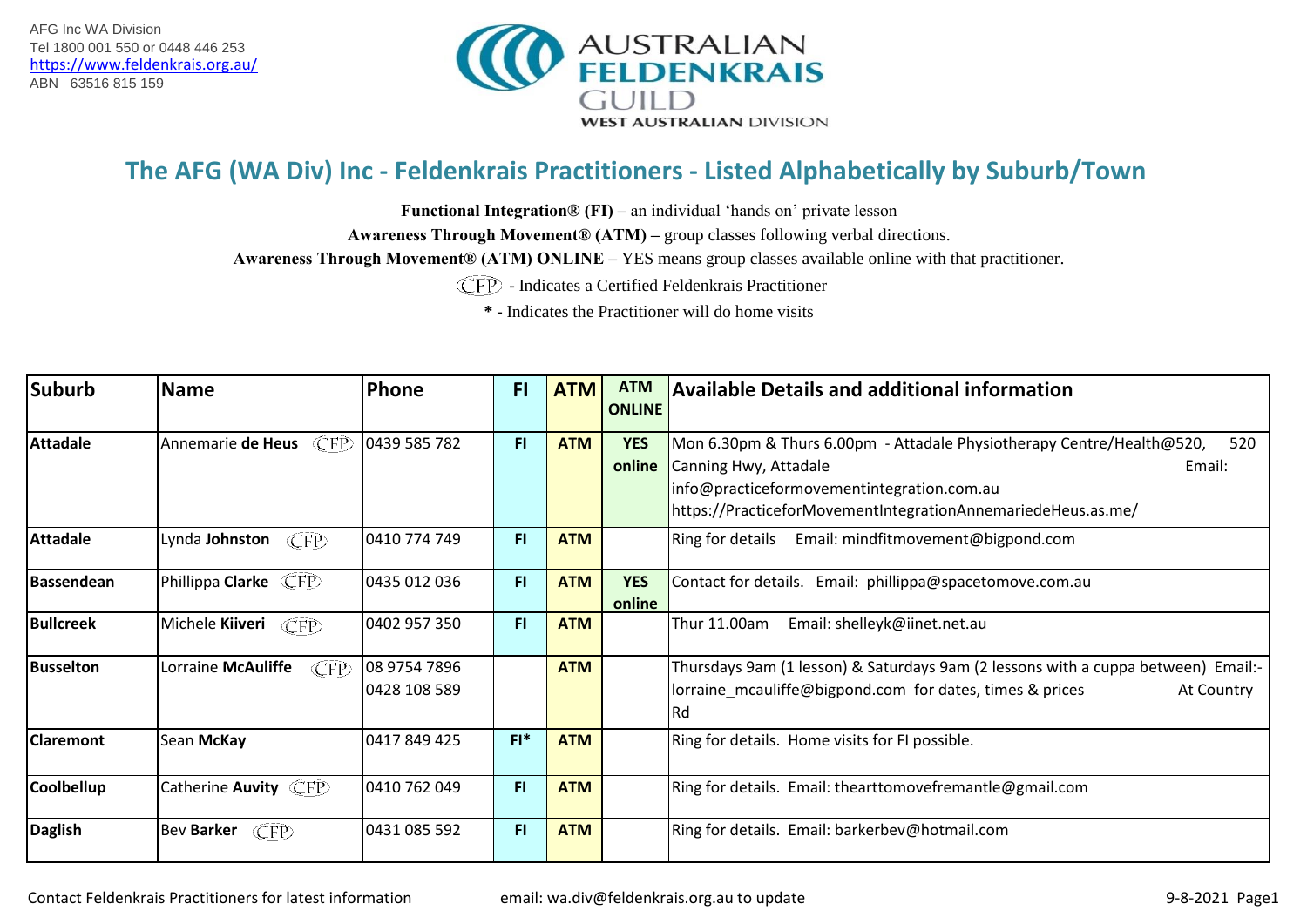

## **The AFG (WA Div) Inc - Feldenkrais Practitioners - Listed Alphabetically by Suburb/Town**

**Functional Integration® (FI) –** an individual 'hands on' private lesson

Awareness Through Movement® (ATM) – group classes following verbal directions.

**Awareness Through Movement® (ATM) ONLINE –** YES means group classes available online with that practitioner.

- Indicates a Certified Feldenkrais Practitioner

**\*** - Indicates the Practitioner will do home visits

| <b>Suburb</b>     | <b>Name</b>                     | Phone                        | F1    | <b>ATM</b> | <b>ATM</b><br><b>ONLINE</b> | <b>Available Details and additional information</b>                                                                                                                                                                           |
|-------------------|---------------------------------|------------------------------|-------|------------|-----------------------------|-------------------------------------------------------------------------------------------------------------------------------------------------------------------------------------------------------------------------------|
| Attadale          | <b>CFD</b><br>Annemarie de Heus | 0439 585 782                 | F1    | <b>ATM</b> | <b>YES</b><br>online        | Mon 6.30pm & Thurs 6.00pm - Attadale Physiotherapy Centre/Health@520,<br>520<br>Canning Hwy, Attadale<br>Email:<br>info@practiceformovementintegration.com.au<br>https://PracticeforMovementIntegrationAnnemariedeHeus.as.me/ |
| <b>Attadale</b>   | Lynda Johnston<br><b>CFP</b>    | 0410 774 749                 | FI.   | <b>ATM</b> |                             | Ring for details Email: mindfitmovement@bigpond.com                                                                                                                                                                           |
| Bassendean        | Phillippa Clarke CFD            | 0435 012 036                 | F1    | <b>ATM</b> | <b>YES</b><br>online        | Contact for details. Email: phillippa@spacetomove.com.au                                                                                                                                                                      |
| <b>Bullcreek</b>  | Michele Kiiveri<br>CFP          | 0402 957 350                 | FI.   | <b>ATM</b> |                             | Thur 11.00am<br>Email: shelleyk@iinet.net.au                                                                                                                                                                                  |
| Busselton         | Lorraine McAuliffe<br>CFD       | 08 9754 7896<br>0428 108 589 |       | <b>ATM</b> |                             | Thursdays 9am (1 lesson) & Saturdays 9am (2 lessons with a cuppa between) Email:-<br>lorraine_mcauliffe@bigpond.com for dates, times & prices<br>At Country<br>lRd.                                                           |
| <b>Claremont</b>  | Sean McKay                      | 0417 849 425                 | $FI*$ | <b>ATM</b> |                             | Ring for details. Home visits for FI possible.                                                                                                                                                                                |
| <b>Coolbellup</b> | Catherine Auvity CFP            | 0410 762 049                 | FI.   | <b>ATM</b> |                             | Ring for details. Email: thearttomovefremantle@gmail.com                                                                                                                                                                      |
| <b>Daglish</b>    | CFP<br>Bev Barker               | 0431 085 592                 | FI.   | <b>ATM</b> |                             | Ring for details. Email: barkerbev@hotmail.com                                                                                                                                                                                |

Contact Feldenkrais Practitioners for latest information email: wa.div@feldenkrais.org.au to update 9-8-2021 Page1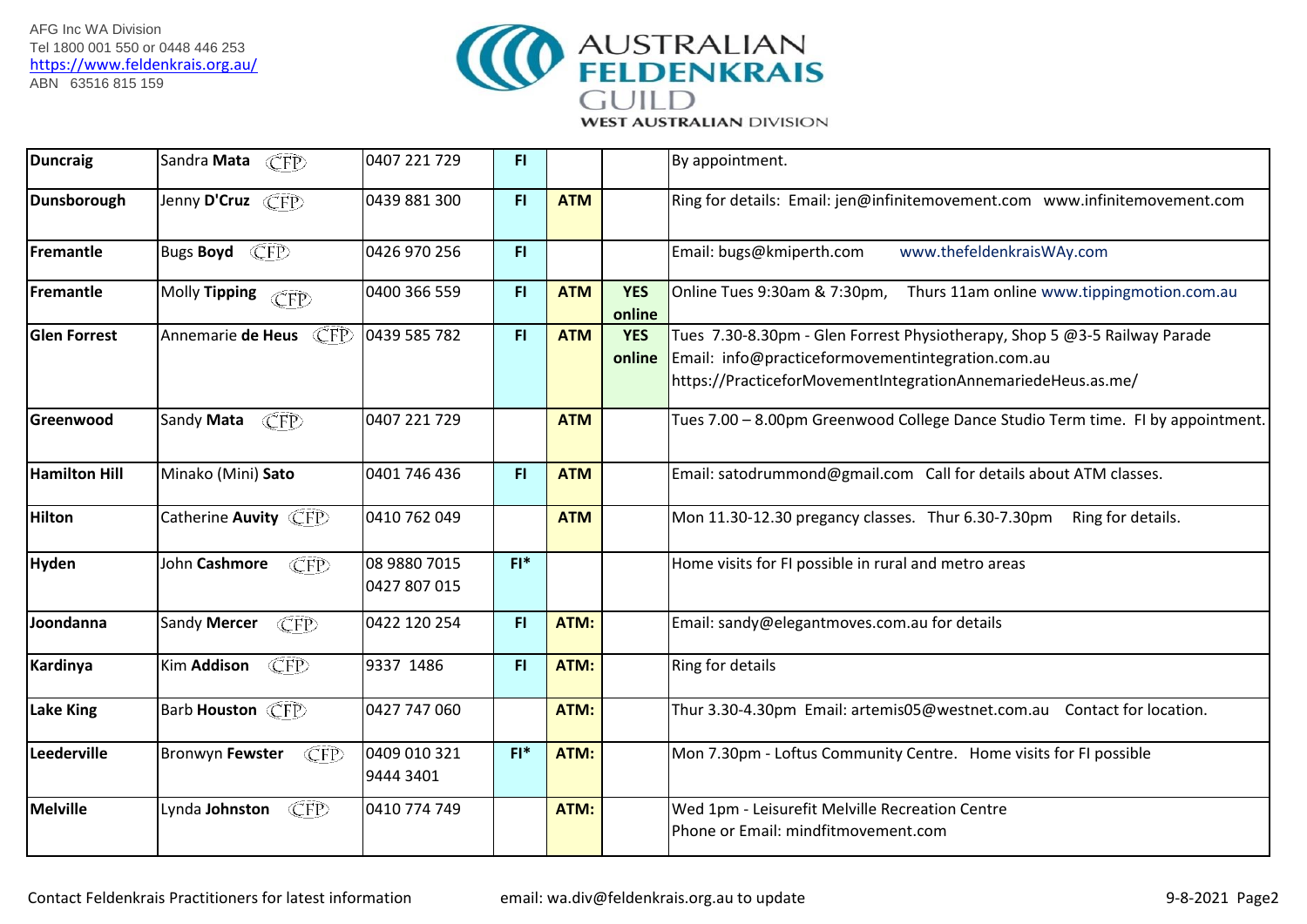

| <b>Duncraig</b>      | Sandra Mata<br>CFP        | 0407 221 729                 | FI.       |            |                      | By appointment.                                                                                                                                                                                |
|----------------------|---------------------------|------------------------------|-----------|------------|----------------------|------------------------------------------------------------------------------------------------------------------------------------------------------------------------------------------------|
| Dunsborough          | Jenny D'Cruz CFP          | 0439 881 300                 | FI.       | <b>ATM</b> |                      | Ring for details: Email: jen@infinitemovement.com www.infinitemovement.com                                                                                                                     |
| <b>Fremantle</b>     | CFD<br><b>Bugs Boyd</b>   | 0426 970 256                 | FI.       |            |                      | Email: bugs@kmiperth.com<br>www.thefeldenkraisWAy.com                                                                                                                                          |
| Fremantle            | Molly Tipping<br>CFP      | 0400 366 559                 | FI.       | <b>ATM</b> | <b>YES</b><br>online | Online Tues 9:30am & 7:30pm,<br>Thurs 11am online www.tippingmotion.com.au                                                                                                                     |
| <b>Glen Forrest</b>  | Annemarie de Heus CFP     | 0439 585 782                 | FI        | <b>ATM</b> | <b>YES</b><br>online | Tues 7.30-8.30pm - Glen Forrest Physiotherapy, Shop 5 @3-5 Railway Parade<br>Email: info@practiceformovementintegration.com.au<br>https://PracticeforMovementIntegrationAnnemariedeHeus.as.me/ |
| Greenwood            | CFD<br>Sandy Mata         | 0407 221 729                 |           | <b>ATM</b> |                      | Tues 7.00 - 8.00pm Greenwood College Dance Studio Term time. FI by appointment.                                                                                                                |
| <b>Hamilton Hill</b> | Minako (Mini) Sato        | 0401 746 436                 | FI.       | <b>ATM</b> |                      | Email: satodrummond@gmail.com  Call for details about ATM classes.                                                                                                                             |
| <b>Hilton</b>        | Catherine Auvity CFD      | 0410 762 049                 |           | <b>ATM</b> |                      | Mon 11.30-12.30 pregancy classes. Thur 6.30-7.30pm<br>Ring for details.                                                                                                                        |
| Hyden                | John Cashmore<br>CFD      | 08 9880 7015<br>0427 807 015 | $FI*$     |            |                      | Home visits for FI possible in rural and metro areas                                                                                                                                           |
| Joondanna            | CFP<br>Sandy Mercer       | 0422 120 254                 | <b>FI</b> | ATM:       |                      | Email: sandy@elegantmoves.com.au for details                                                                                                                                                   |
| Kardinya             | CFD<br><b>Kim Addison</b> | 9337 1486                    | FI.       | ATM:       |                      | Ring for details                                                                                                                                                                               |
| <b>Lake King</b>     | Barb Houston CFP          | 0427 747 060                 |           | ATM:       |                      | Thur 3.30-4.30pm Email: artemis05@westnet.com.au Contact for location.                                                                                                                         |
| Leederville          | Bronwyn Fewster<br>CFD    | 0409 010 321<br>9444 3401    | $FI^*$    | ATM:       |                      | Mon 7.30pm - Loftus Community Centre. Home visits for FI possible                                                                                                                              |
| Melville             | CFD<br>Lynda Johnston     | 0410 774 749                 |           | ATM:       |                      | Wed 1pm - Leisurefit Melville Recreation Centre<br>Phone or Email: mindfitmovement.com                                                                                                         |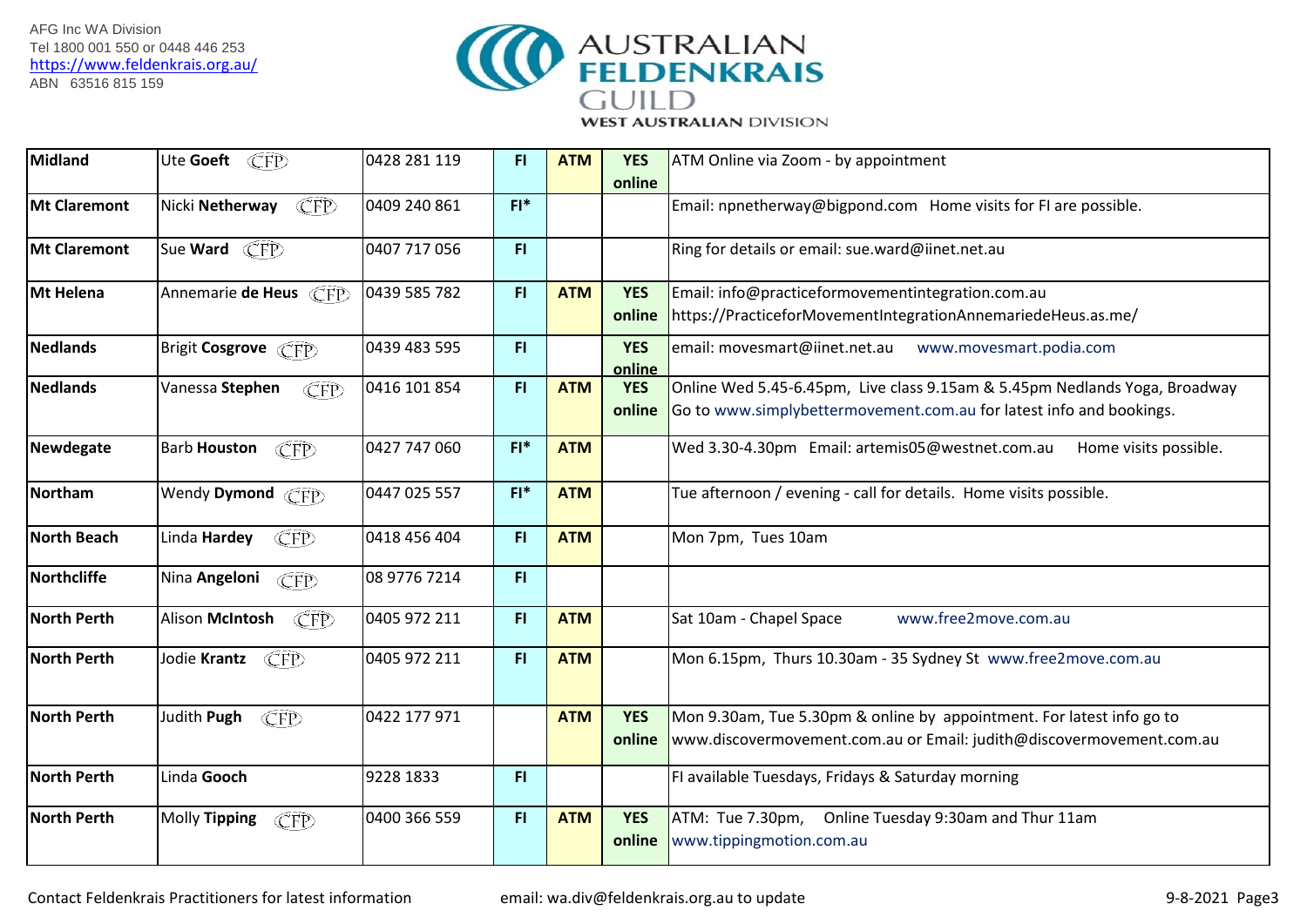

| Midland            | $\widehat{\mathbb{C}}$ FP<br>Ute Goeft | 0428 281 119 | FI.   | <b>ATM</b> | <b>YES</b>           | ATM Online via Zoom - by appointment                                                                                                              |
|--------------------|----------------------------------------|--------------|-------|------------|----------------------|---------------------------------------------------------------------------------------------------------------------------------------------------|
|                    |                                        |              |       |            | online               |                                                                                                                                                   |
| Mt Claremont       | Nicki Netherway<br>CFD                 | 0409 240 861 | $FI*$ |            |                      | Email: npnetherway@bigpond.com Home visits for FI are possible.                                                                                   |
| Mt Claremont       | CFD<br>Sue Ward                        | 0407 717 056 | F1    |            |                      | Ring for details or email: sue.ward@iinet.net.au                                                                                                  |
| Mt Helena          | Annemarie de Heus <b>CFP</b>           | 0439 585 782 | F1    | <b>ATM</b> | <b>YES</b><br>online | Email: info@practiceformovementintegration.com.au<br>https://PracticeforMovementIntegrationAnnemariedeHeus.as.me/                                 |
|                    |                                        |              |       |            |                      |                                                                                                                                                   |
| <b>Nedlands</b>    | Brigit Cosgrove CFP                    | 0439 483 595 | F1    |            | <b>YES</b><br>online | email: movesmart@iinet.net.au<br>www.movesmart.podia.com                                                                                          |
| Nedlands           | Vanessa Stephen<br>CFP                 | 0416 101 854 | FI.   | <b>ATM</b> | <b>YES</b><br>online | Online Wed 5.45-6.45pm, Live class 9.15am & 5.45pm Nedlands Yoga, Broadway<br>Go to www.simplybettermovement.com.au for latest info and bookings. |
| Newdegate          | <b>Barb Houston</b><br>CFP             | 0427 747 060 | $FI*$ | <b>ATM</b> |                      | Wed 3.30-4.30pm Email: artemis05@westnet.com.au<br>Home visits possible.                                                                          |
| Northam            | Wendy Dymond CFP                       | 0447 025 557 | $FI*$ | <b>ATM</b> |                      | Tue afternoon / evening - call for details. Home visits possible.                                                                                 |
| <b>North Beach</b> | Linda Hardey<br>CFD                    | 0418 456 404 | F1    | <b>ATM</b> |                      | Mon 7pm, Tues 10am                                                                                                                                |
| Northcliffe        | Nina Angeloni<br>CFD                   | 08 9776 7214 | F1    |            |                      |                                                                                                                                                   |
| North Perth        | Alison McIntosh<br>CFP                 | 0405 972 211 | FI.   | <b>ATM</b> |                      | Sat 10am - Chapel Space<br>www.free2move.com.au                                                                                                   |
| North Perth        | CFD<br>Jodie Krantz                    | 0405 972 211 | FI.   | <b>ATM</b> |                      | Mon 6.15pm, Thurs 10.30am - 35 Sydney St www.free2move.com.au                                                                                     |
| <b>North Perth</b> | CFP<br>Judith Pugh                     | 0422 177 971 |       | <b>ATM</b> | <b>YES</b><br>online | Mon 9.30am, Tue 5.30pm & online by appointment. For latest info go to<br>www.discovermovement.com.au or Email: judith@discovermovement.com.au     |
| North Perth        | Linda Gooch                            | 9228 1833    | F1    |            |                      | FI available Tuesdays, Fridays & Saturday morning                                                                                                 |
| <b>North Perth</b> | <b>Molly Tipping</b><br>CFP            | 0400 366 559 | F1    | <b>ATM</b> | <b>YES</b><br>online | ATM: Tue 7.30pm,<br>Online Tuesday 9:30am and Thur 11am<br>www.tippingmotion.com.au                                                               |

Contact Feldenkrais Practitioners for latest information email: wa.div@feldenkrais.org.au to update 9-8-2021 Page3